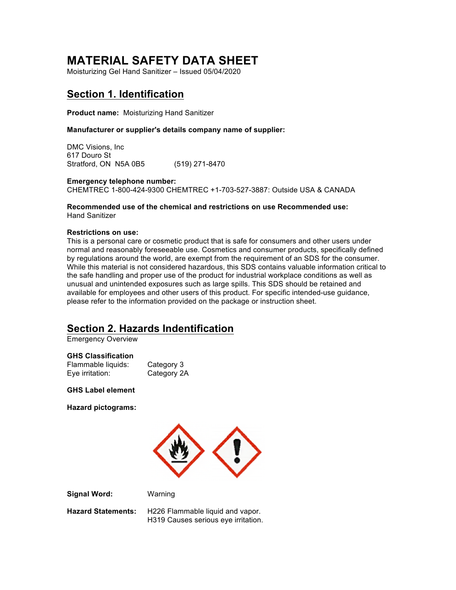# **MATERIAL SAFETY DATA SHEET**

Moisturizing Gel Hand Sanitizer – Issued 05/04/2020

## **Section 1. Identification**

**Product name:** Moisturizing Hand Sanitizer

#### **Manufacturer or supplier's details company name of supplier:**

DMC Visions, Inc 617 Douro St Stratford, ON N5A 0B5 (519) 271-8470

**Emergency telephone number:**  CHEMTREC 1-800-424-9300 CHEMTREC +1-703-527-3887: Outside USA & CANADA

**Recommended use of the chemical and restrictions on use Recommended use:**  Hand Sanitizer

#### **Restrictions on use:**

This is a personal care or cosmetic product that is safe for consumers and other users under normal and reasonably foreseeable use. Cosmetics and consumer products, specifically defined by regulations around the world, are exempt from the requirement of an SDS for the consumer. While this material is not considered hazardous, this SDS contains valuable information critical to the safe handling and proper use of the product for industrial workplace conditions as well as unusual and unintended exposures such as large spills. This SDS should be retained and available for employees and other users of this product. For specific intended-use guidance, please refer to the information provided on the package or instruction sheet.

### **Section 2. Hazards Indentification**

Emergency Overview

#### **GHS Classification**

| Flammable liquids: | Category 3  |
|--------------------|-------------|
| Eye irritation:    | Category 2A |

**GHS Label element** 

**Hazard pictograms:**



**Signal Word:** Warning

**Hazard Statements:** H226 Flammable liquid and vapor. H319 Causes serious eye irritation.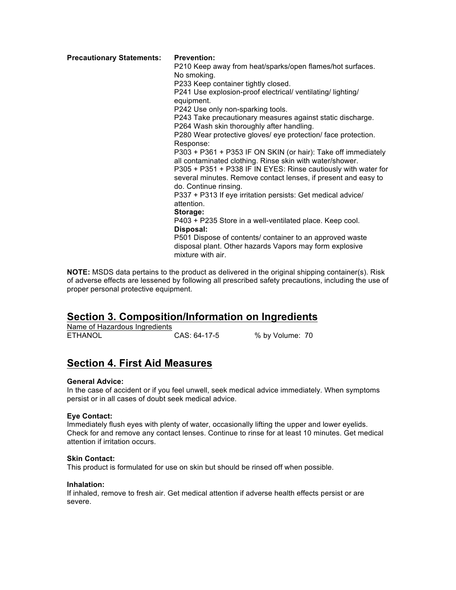**Precautionary Statements: Prevention:**

P210 Keep away from heat/sparks/open flames/hot surfaces. No smoking.

P233 Keep container tightly closed.

P241 Use explosion-proof electrical/ ventilating/ lighting/ equipment.

P242 Use only non-sparking tools.

P243 Take precautionary measures against static discharge.

P264 Wash skin thoroughly after handling.

P280 Wear protective gloves/ eye protection/ face protection. Response:

P303 + P361 + P353 IF ON SKIN (or hair): Take off immediately all contaminated clothing. Rinse skin with water/shower.

P305 + P351 + P338 IF IN EYES: Rinse cautiously with water for several minutes. Remove contact lenses, if present and easy to do. Continue rinsing.

P337 + P313 If eye irritation persists: Get medical advice/ attention.

#### **Storage:**

P403 + P235 Store in a well-ventilated place. Keep cool. **Disposal:** 

P501 Dispose of contents/ container to an approved waste disposal plant. Other hazards Vapors may form explosive mixture with air.

**NOTE:** MSDS data pertains to the product as delivered in the original shipping container(s). Risk of adverse effects are lessened by following all prescribed safety precautions, including the use of proper personal protective equipment.

### **Section 3. Composition/Information on Ingredients**

Name of Hazardous Ingredients ETHANOL CAS: 64-17-5 % by Volume: 70

### **Section 4. First Aid Measures**

#### **General Advice:**

In the case of accident or if you feel unwell, seek medical advice immediately. When symptoms persist or in all cases of doubt seek medical advice.

### **Eye Contact:**

Immediately flush eyes with plenty of water, occasionally lifting the upper and lower eyelids. Check for and remove any contact lenses. Continue to rinse for at least 10 minutes. Get medical attention if irritation occurs.

#### **Skin Contact:**

This product is formulated for use on skin but should be rinsed off when possible.

#### **Inhalation:**

If inhaled, remove to fresh air. Get medical attention if adverse health effects persist or are severe.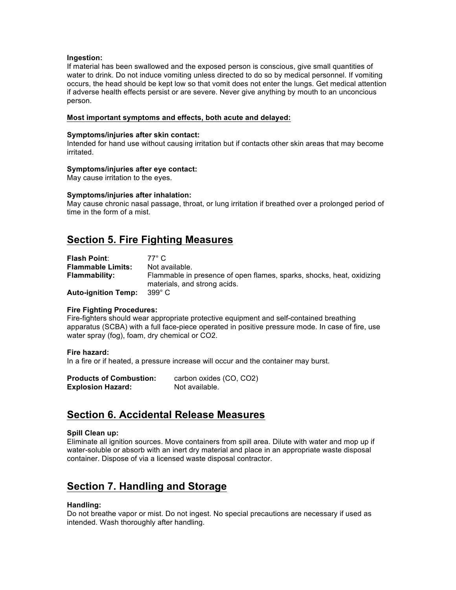#### **Ingestion:**

If material has been swallowed and the exposed person is conscious, give small quantities of water to drink. Do not induce vomiting unless directed to do so by medical personnel. If vomiting occurs, the head should be kept low so that vomit does not enter the lungs. Get medical attention if adverse health effects persist or are severe. Never give anything by mouth to an unconcious person.

#### **Most important symptoms and effects, both acute and delayed:**

#### **Symptoms/injuries after skin contact:**

Intended for hand use without causing irritation but if contacts other skin areas that may become irritated.

#### **Symptoms/injuries after eye contact:**

May cause irritation to the eyes.

#### **Symptoms/injuries after inhalation:**

May cause chronic nasal passage, throat, or lung irritation if breathed over a prolonged period of time in the form of a mist.

### **Section 5. Fire Fighting Measures**

| <b>Flash Point:</b>        | 77° C.                                                                                                |
|----------------------------|-------------------------------------------------------------------------------------------------------|
| <b>Flammable Limits:</b>   | Not available.                                                                                        |
| <b>Flammability:</b>       | Flammable in presence of open flames, sparks, shocks, heat, oxidizing<br>materials, and strong acids. |
| <b>Auto-ignition Temp:</b> | 399° C                                                                                                |

#### **Fire Fighting Procedures:**

Fire-fighters should wear appropriate protective equipment and self-contained breathing apparatus (SCBA) with a full face-piece operated in positive pressure mode. In case of fire, use water spray (fog), foam, dry chemical or CO2.

#### **Fire hazard:**

In a fire or if heated, a pressure increase will occur and the container may burst.

| <b>Products of Combustion:</b> | carbon oxides (CO, CO2) |
|--------------------------------|-------------------------|
| <b>Explosion Hazard:</b>       | Not available.          |

### **Section 6. Accidental Release Measures**

#### **Spill Clean up:**

Eliminate all ignition sources. Move containers from spill area. Dilute with water and mop up if water-soluble or absorb with an inert dry material and place in an appropriate waste disposal container. Dispose of via a licensed waste disposal contractor.

### **Section 7. Handling and Storage**

#### **Handling:**

Do not breathe vapor or mist. Do not ingest. No special precautions are necessary if used as intended. Wash thoroughly after handling.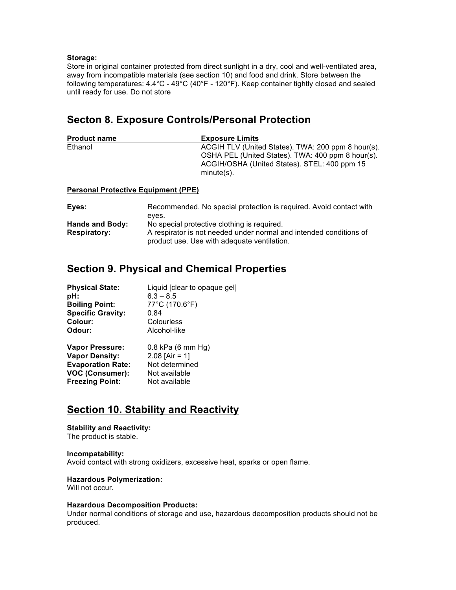#### **Storage:**

Store in original container protected from direct sunlight in a dry, cool and well-ventilated area, away from incompatible materials (see section 10) and food and drink. Store between the following temperatures: 4.4°C - 49°C (40°F - 120°F). Keep container tightly closed and sealed until ready for use. Do not store

### **Secton 8. Exposure Controls/Personal Protection**

| <b>Product name</b> | <b>Exposure Limits</b>                                                                                                                                                   |
|---------------------|--------------------------------------------------------------------------------------------------------------------------------------------------------------------------|
| Ethanol             | ACGIH TLV (United States). TWA: 200 ppm 8 hour(s).<br>OSHA PEL (United States). TWA: 400 ppm 8 hour(s).<br>ACGIH/OSHA (United States). STEL: 400 ppm 15<br>$minute(s)$ . |
|                     |                                                                                                                                                                          |

#### **Personal Protective Equipment (PPE)**

| Eyes:                  | Recommended. No special protection is required. Avoid contact with |
|------------------------|--------------------------------------------------------------------|
|                        | eves.                                                              |
| <b>Hands and Body:</b> | No special protective clothing is required.                        |
| <b>Respiratory:</b>    | A respirator is not needed under normal and intended conditions of |
|                        | product use. Use with adequate ventilation.                        |

## **Section 9. Physical and Chemical Properties**

| <b>Physical State:</b>   | Liquid [clear to opaque gel] |
|--------------------------|------------------------------|
| pH:                      | $6.3 - 8.5$                  |
| <b>Boiling Point:</b>    | 77°C (170.6°F)               |
| <b>Specific Gravity:</b> | 0.84                         |
| Colour:                  | Colourless                   |
| Odour:                   | Alcohol-like                 |
| <b>Vapor Pressure:</b>   | 0.8 kPa (6 mm Hg)            |
| <b>Vapor Density:</b>    | 2.08 [Air = 1]               |
| <b>Evaporation Rate:</b> | Not determined               |
| VOC (Consumer):          | Not available                |
| <b>Freezing Point:</b>   | Not available                |

# **Section 10. Stability and Reactivity**

#### **Stability and Reactivity:**

The product is stable.

#### **Incompatability:**

Avoid contact with strong oxidizers, excessive heat, sparks or open flame.

#### **Hazardous Polymerization:**

Will not occur.

#### **Hazardous Decomposition Products:**

Under normal conditions of storage and use, hazardous decomposition products should not be produced.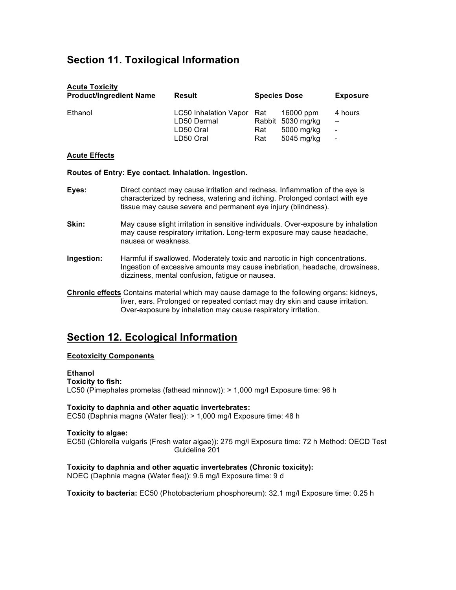# **Section 11. Toxilogical Information**

| <b>Acute Toxicity</b><br><b>Product/Ingredient Name</b> | Result                                                             | <b>Species Dose</b>                                                      | <b>Exposure</b>                                                      |
|---------------------------------------------------------|--------------------------------------------------------------------|--------------------------------------------------------------------------|----------------------------------------------------------------------|
| Ethanol                                                 | LC50 Inhalation Vapor Rat<br>LD50 Dermal<br>LD50 Oral<br>LD50 Oral | 16000 ppm<br>Rabbit 5030 mg/kg<br>5000 mg/kg<br>Rat<br>5045 mg/kg<br>Rat | 4 hours<br>$\overline{\phantom{0}}$<br>-<br>$\overline{\phantom{a}}$ |

#### **Acute Effects**

**Routes of Entry: Eye contact. Inhalation. Ingestion.**

- **Eyes:** Direct contact may cause irritation and redness. Inflammation of the eye is characterized by redness, watering and itching. Prolonged contact with eye tissue may cause severe and permanent eye injury (blindness).
- **Skin:** May cause slight irritation in sensitive individuals. Over-exposure by inhalation may cause respiratory irritation. Long-term exposure may cause headache, nausea or weakness.
- **Ingestion:** Harmful if swallowed. Moderately toxic and narcotic in high concentrations. Ingestion of excessive amounts may cause inebriation, headache, drowsiness, dizziness, mental confusion, fatigue or nausea.
- **Chronic effects** Contains material which may cause damage to the following organs: kidneys, liver, ears. Prolonged or repeated contact may dry skin and cause irritation. Over-exposure by inhalation may cause respiratory irritation.

### **Section 12. Ecological Information**

#### **Ecotoxicity Components**

**Ethanol**

**Toxicity to fish:**

LC50 (Pimephales promelas (fathead minnow)): > 1,000 mg/l Exposure time: 96 h

# **Toxicity to daphnia and other aquatic invertebrates:**

EC50 (Daphnia magna (Water flea)): > 1,000 mg/l Exposure time: 48 h

#### **Toxicity to algae:**

EC50 (Chlorella vulgaris (Fresh water algae)): 275 mg/l Exposure time: 72 h Method: OECD Test Guideline 201

### **Toxicity to daphnia and other aquatic invertebrates (Chronic toxicity):**

NOEC (Daphnia magna (Water flea)): 9.6 mg/l Exposure time: 9 d

**Toxicity to bacteria:** EC50 (Photobacterium phosphoreum): 32.1 mg/l Exposure time: 0.25 h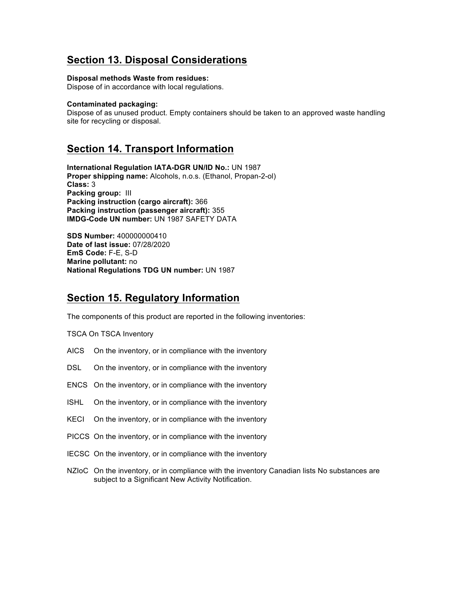# **Section 13. Disposal Considerations**

#### **Disposal methods Waste from residues:**

Dispose of in accordance with local regulations.

#### **Contaminated packaging:**

Dispose of as unused product. Empty containers should be taken to an approved waste handling site for recycling or disposal.

### **Section 14. Transport Information**

**International Regulation IATA-DGR UN/ID No.:** UN 1987 **Proper shipping name:** Alcohols, n.o.s. (Ethanol, Propan-2-ol) **Class:** 3 **Packing group:** III **Packing instruction (cargo aircraft):** 366 **Packing instruction (passenger aircraft):** 355 **IMDG-Code UN number:** UN 1987 SAFETY DATA

**SDS Number:** 400000000410 **Date of last issue:** 07/28/2020 **EmS Code:** F-E, S-D **Marine pollutant:** no **National Regulations TDG UN number:** UN 1987

### **Section 15. Regulatory Information**

The components of this product are reported in the following inventories:

TSCA On TSCA Inventory

- AICS On the inventory, or in compliance with the inventory
- DSL On the inventory, or in compliance with the inventory
- ENCS On the inventory, or in compliance with the inventory
- ISHL On the inventory, or in compliance with the inventory
- KECI On the inventory, or in compliance with the inventory
- PICCS On the inventory, or in compliance with the inventory
- IECSC On the inventory, or in compliance with the inventory
- NZIoC On the inventory, or in compliance with the inventory Canadian lists No substances are subject to a Significant New Activity Notification.